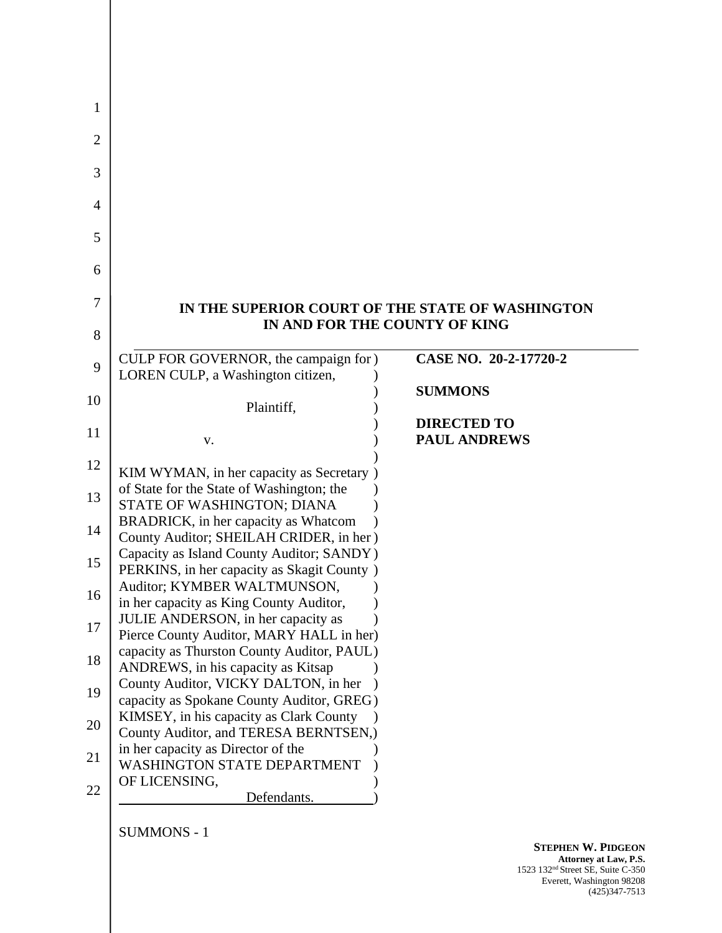|                                                                                      | IN THE SUPERIOR COURT OF THE STATE OF WASHINGTON<br>IN AND FOR THE COUNTY OF KING |
|--------------------------------------------------------------------------------------|-----------------------------------------------------------------------------------|
|                                                                                      |                                                                                   |
| CULP FOR GOVERNOR, the campaign for )                                                | CASE NO. 20-2-17720-2                                                             |
| LOREN CULP, a Washington citizen,                                                    |                                                                                   |
| Plaintiff,                                                                           | <b>SUMMONS</b>                                                                    |
|                                                                                      | <b>DIRECTED TO</b>                                                                |
| V.                                                                                   | <b>PAUL ANDREWS</b>                                                               |
|                                                                                      |                                                                                   |
| KIM WYMAN, in her capacity as Secretary)                                             |                                                                                   |
| of State for the State of Washington; the                                            |                                                                                   |
| STATE OF WASHINGTON; DIANA                                                           |                                                                                   |
| BRADRICK, in her capacity as Whatcom                                                 |                                                                                   |
| County Auditor; SHEILAH CRIDER, in her)<br>Capacity as Island County Auditor; SANDY) |                                                                                   |
| PERKINS, in her capacity as Skagit County )                                          |                                                                                   |
| Auditor; KYMBER WALTMUNSON,                                                          |                                                                                   |
| in her capacity as King County Auditor,                                              |                                                                                   |
| JULIE ANDERSON, in her capacity as                                                   |                                                                                   |
| Pierce County Auditor, MARY HALL in her)                                             |                                                                                   |
| capacity as Thurston County Auditor, PAUL)                                           |                                                                                   |
| ANDREWS, in his capacity as Kitsap                                                   |                                                                                   |
| County Auditor, VICKY DALTON, in her                                                 |                                                                                   |
| capacity as Spokane County Auditor, GREG)<br>KIMSEY, in his capacity as Clark County |                                                                                   |
| County Auditor, and TERESA BERNTSEN,)                                                |                                                                                   |
| in her capacity as Director of the                                                   |                                                                                   |
|                                                                                      |                                                                                   |
| <b>WASHINGTON STATE DEPARTMENT</b>                                                   |                                                                                   |
| OF LICENSING,                                                                        |                                                                                   |